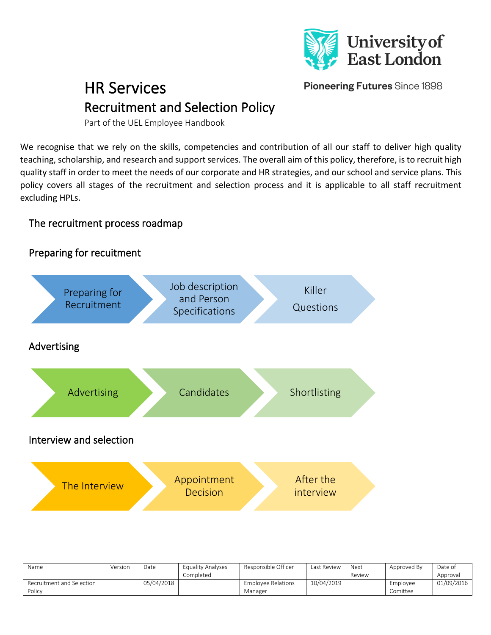

Pioneering Futures Since 1898

# HR Services Recruitment and Selection Policy

Part of the UEL Employee Handbook

We recognise that we rely on the skills, competencies and contribution of all our staff to deliver high quality teaching, scholarship, and research and support services. The overall aim of this policy, therefore, is to recruit high quality staff in order to meet the needs of our corporate and HR strategies, and our school and service plans. This policy covers all stages of the recruitment and selection process and it is applicable to all staff recruitment excluding HPLs.

## The recruitment process roadmap

# Preparing for recuitment



| Name                      | Version | Date       | Equality Analyses<br>Completed | Responsible Officer       | Last Review | Next<br>Review | Approved By | Date of<br>Approval |
|---------------------------|---------|------------|--------------------------------|---------------------------|-------------|----------------|-------------|---------------------|
|                           |         |            |                                |                           |             |                |             |                     |
| Recruitment and Selection |         | 05/04/2018 |                                | <b>Employee Relations</b> | 10/04/2019  |                | Employee    | 01/09/2016          |
| Policy                    |         |            |                                | Manager                   |             |                | Comittee    |                     |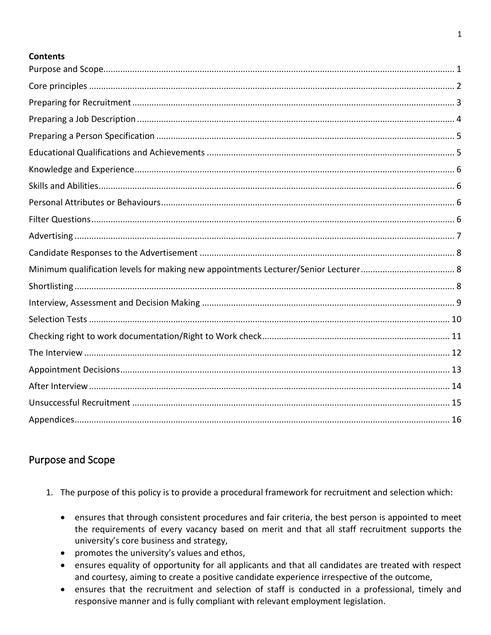#### **Contents**

## <span id="page-1-0"></span>Purpose and Scope

- 1. The purpose of this policy is to provide a procedural framework for recruitment and selection which:
	- ensures that through consistent procedures and fair criteria, the best person is appointed to meet the requirements of every vacancy based on merit and that all staff recruitment supports the university's core business and strategy,
	- promotes the university's values and ethos,
	- ensures equality of opportunity for all applicants and that all candidates are treated with respect and courtesy, aiming to create a positive candidate experience irrespective of the outcome,
	- ensures that the recruitment and selection of staff is conducted in a professional, timely and responsive manner and is fully compliant with relevant employment legislation.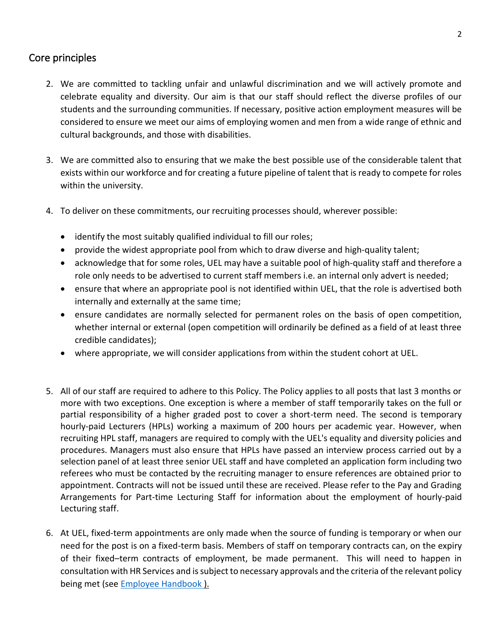## <span id="page-2-0"></span>Core principles

- 2. We are committed to tackling unfair and unlawful discrimination and we will actively promote and celebrate equality and diversity. Our aim is that our staff should reflect the diverse profiles of our students and the surrounding communities. If necessary, positive action employment measures will be considered to ensure we meet our aims of employing women and men from a wide range of ethnic and cultural backgrounds, and those with disabilities.
- 3. We are committed also to ensuring that we make the best possible use of the considerable talent that exists within our workforce and for creating a future pipeline of talent that is ready to compete for roles within the university.
- 4. To deliver on these commitments, our recruiting processes should, wherever possible:
	- identify the most suitably qualified individual to fill our roles;
	- provide the widest appropriate pool from which to draw diverse and high-quality talent;
	- acknowledge that for some roles, UEL may have a suitable pool of high-quality staff and therefore a role only needs to be advertised to current staff members i.e. an internal only advert is needed;
	- ensure that where an appropriate pool is not identified within UEL, that the role is advertised both internally and externally at the same time;
	- ensure candidates are normally selected for permanent roles on the basis of open competition, whether internal or external (open competition will ordinarily be defined as a field of at least three credible candidates);
	- where appropriate, we will consider applications from within the student cohort at UEL.
- 5. All of our staff are required to adhere to this Policy. The Policy applies to all posts that last 3 months or more with two exceptions. One exception is where a member of staff temporarily takes on the full or partial responsibility of a higher graded post to cover a short-term need. The second is temporary hourly-paid Lecturers (HPLs) working a maximum of 200 hours per academic year. However, when recruiting HPL staff, managers are required to comply with the UEL's equality and diversity policies and procedures. Managers must also ensure that HPLs have passed an interview process carried out by a selection panel of at least three senior UEL staff and have completed an application form including two referees who must be contacted by the recruiting manager to ensure references are obtained prior to appointment. Contracts will not be issued until these are received. Please refer to the Pay and Grading Arrangements for Part-time Lecturing Staff for information about the employment of hourly-paid Lecturing staff.
- 6. At UEL, fixed-term appointments are only made when the source of funding is temporary or when our need for the post is on a fixed-term basis. Members of staff on temporary contracts can, on the expiry of their fixed–term contracts of employment, be made permanent. This will need to happen in consultation with HR Services and is subject to necessary approvals and the criteria of the relevant policy being met (see [Employee Handbook](https://uelac.sharepoint.com/:u:/s/hr/ESWlCvNcfMJDr383XyeCWRIB3cG3ZUiQS51R1fbPgki9BA?e=GFE3XE) ).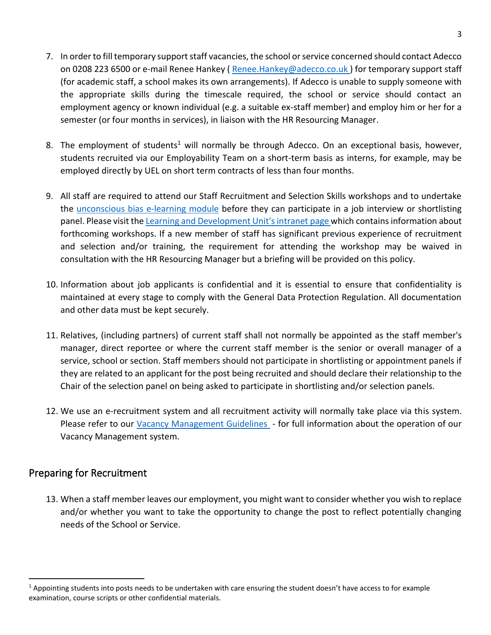- 7. In order to fill temporary support staff vacancies, the school or service concerned should contact Adecco on 0208 223 6500 or e-mail Renee Hankey [\( Renee.Hankey@adecco.co.uk](mailto:Renee.Hankey@adecco.co.uk) ) for temporary support staff (for academic staff, a school makes its own arrangements). If Adecco is unable to supply someone with the appropriate skills during the timescale required, the school or service should contact an employment agency or known individual (e.g. a suitable ex-staff member) and employ him or her for a semester (or four months in services), in liaison with the HR Resourcing Manager.
- 8. The employment of students<sup>1</sup> will normally be through Adecco. On an exceptional basis, however, students recruited via our Employability Team on a short-term basis as interns, for example, may be employed directly by UEL on short term contracts of less than four months.
- 9. All staff are required to attend our Staff Recruitment and Selection Skills workshops and to undertake the [unconscious bias e-learning module](https://uelac.sharepoint.com/sites/OIE/SitePages/Training.aspx?csf=1&web=1&e=bdJdSj&cid=4f3e3d71-632f-4c19-ba39-bdaea31bcba3) before they can participate in a job interview or shortlisting panel. Please visit th[e Learning and Development Unit's intranet](https://uelac.sharepoint.com/:u:/s/hr/EQq3XmPJ8-JHjnQd5e_DKCkBr1BzQIUcBGjO2OpmLhDOFg?e=LiiLVi) page which contains information about forthcoming workshops. If a new member of staff has significant previous experience of recruitment and selection and/or training, the requirement for attending the workshop may be waived in consultation with the HR Resourcing Manager but a briefing will be provided on this policy.
- 10. Information about job applicants is confidential and it is essential to ensure that confidentiality is maintained at every stage to comply with the General Data Protection Regulation. All documentation and other data must be kept securely.
- 11. Relatives, (including partners) of current staff shall not normally be appointed as the staff member's manager, direct reportee or where the current staff member is the senior or overall manager of a service, school or section. Staff members should not participate in shortlisting or appointment panels if they are related to an applicant for the post being recruited and should declare their relationship to the Chair of the selection panel on being asked to participate in shortlisting and/or selection panels.
- 12. We use an e-recruitment system and all recruitment activity will normally take place via this system. Please refer to our [Vacancy Management Guidelines](https://uelac.sharepoint.com/:b:/s/hr/Eak41luBPWZBnvqp6Pq_dakBudXr6255IW-AULicst-mxw?e=l2LvKP) - for full information about the operation of our Vacancy Management system.

## <span id="page-3-0"></span>Preparing for Recruitment

13. When a staff member leaves our employment, you might want to consider whether you wish to replace and/or whether you want to take the opportunity to change the post to reflect potentially changing needs of the School or Service.

 $1$  Appointing students into posts needs to be undertaken with care ensuring the student doesn't have access to for example examination, course scripts or other confidential materials.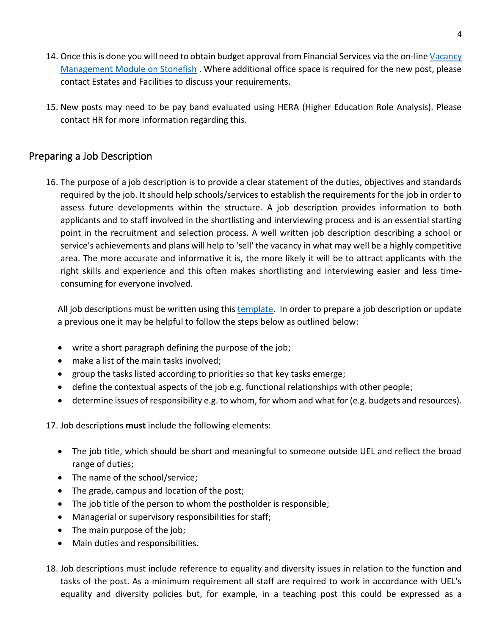- 14. Once this is done you will need to obtain budget approval from Financial Services via the on-line Vacancy [Management Module on Stonefish](https://uelac.sharepoint.com/:b:/s/hr/Eak41luBPWZBnvqp6Pq_dakBudXr6255IW-AULicst-mxw?e=l2LvKP) . Where additional office space is required for the new post, please contact Estates and Facilities to discuss your requirements.
- 15. New posts may need to be pay band evaluated using HERA (Higher Education Role Analysis). Please contact HR for more information regarding this.

## <span id="page-4-0"></span>Preparing a Job Description

16. The purpose of a job description is to provide a clear statement of the duties, objectives and standards required by the job. It should help schools/services to establish the requirements for the job in order to assess future developments within the structure. A job description provides information to both applicants and to staff involved in the shortlisting and interviewing process and is an essential starting point in the recruitment and selection process. A well written job description describing a school or service's achievements and plans will help to 'sell' the vacancy in what may well be a highly competitive area. The more accurate and informative it is, the more likely it will be to attract applicants with the right skills and experience and this often makes shortlisting and interviewing easier and less timeconsuming for everyone involved.

All job descriptions must be written using this [template.](https://uelac.sharepoint.com/:w:/s/hr/EZlidkwb8gJNgD3CjiMlWI8But-Poo2ClQREziyQ-nRyqg?e=PbJgZ4) In order to prepare a job description or update a previous one it may be helpful to follow the steps below as outlined below:

- write a short paragraph defining the purpose of the job;
- make a list of the main tasks involved;
- group the tasks listed according to priorities so that key tasks emerge;
- define the contextual aspects of the job e.g. functional relationships with other people;
- determine issues of responsibility e.g. to whom, for whom and what for (e.g. budgets and resources).

17. Job descriptions **must** include the following elements:

- The job title, which should be short and meaningful to someone outside UEL and reflect the broad range of duties;
- The name of the school/service;
- The grade, campus and location of the post;
- The job title of the person to whom the postholder is responsible;
- Managerial or supervisory responsibilities for staff;
- The main purpose of the job;
- Main duties and responsibilities.
- 18. Job descriptions must include reference to equality and diversity issues in relation to the function and tasks of the post. As a minimum requirement all staff are required to work in accordance with UEL's equality and diversity policies but, for example, in a teaching post this could be expressed as a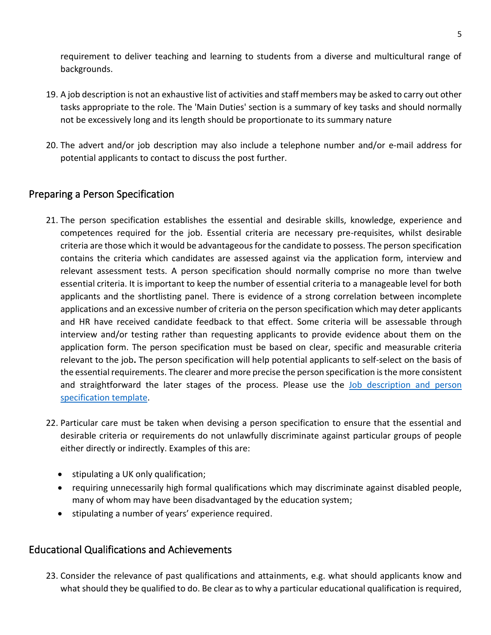requirement to deliver teaching and learning to students from a diverse and multicultural range of backgrounds.

- 19. A job description is not an exhaustive list of activities and staff members may be asked to carry out other tasks appropriate to the role. The 'Main Duties' section is a summary of key tasks and should normally not be excessively long and its length should be proportionate to its summary nature
- 20. The advert and/or job description may also include a telephone number and/or e-mail address for potential applicants to contact to discuss the post further.

## <span id="page-5-0"></span>Preparing a Person Specification

- 21. The person specification establishes the essential and desirable skills, knowledge, experience and competences required for the job. Essential criteria are necessary pre-requisites, whilst desirable criteria are those which it would be advantageous for the candidate to possess. The person specification contains the criteria which candidates are assessed against via the application form, interview and relevant assessment tests. A person specification should normally comprise no more than twelve essential criteria. It is important to keep the number of essential criteria to a manageable level for both applicants and the shortlisting panel. There is evidence of a strong correlation between incomplete applications and an excessive number of criteria on the person specification which may deter applicants and HR have received candidate feedback to that effect. Some criteria will be assessable through interview and/or testing rather than requesting applicants to provide evidence about them on the application form. The person specification must be based on clear, specific and measurable criteria relevant to the job**.** The person specification will help potential applicants to self-select on the basis of the essential requirements. The clearer and more precise the person specification is the more consistent and straightforward the later stages of the process. Please use the [Job description and person](https://uelac.sharepoint.com/:w:/s/hr/EZlidkwb8gJNgD3CjiMlWI8But-Poo2ClQREziyQ-nRyqg?e=PbJgZ4)  [specification template.](https://uelac.sharepoint.com/:w:/s/hr/EZlidkwb8gJNgD3CjiMlWI8But-Poo2ClQREziyQ-nRyqg?e=PbJgZ4)
- 22. Particular care must be taken when devising a person specification to ensure that the essential and desirable criteria or requirements do not unlawfully discriminate against particular groups of people either directly or indirectly. Examples of this are:
	- stipulating a UK only qualification;
	- requiring unnecessarily high formal qualifications which may discriminate against disabled people, many of whom may have been disadvantaged by the education system;
	- stipulating a number of years' experience required.

## <span id="page-5-1"></span>Educational Qualifications and Achievements

23. Consider the relevance of past qualifications and attainments, e.g. what should applicants know and what should they be qualified to do. Be clear as to why a particular educational qualification is required,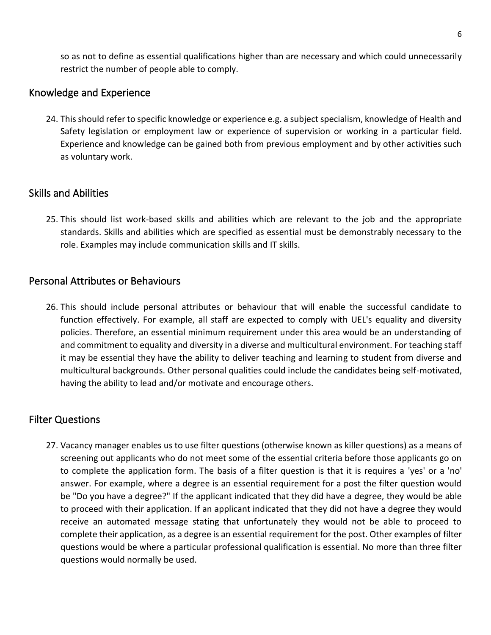so as not to define as essential qualifications higher than are necessary and which could unnecessarily restrict the number of people able to comply.

#### <span id="page-6-1"></span>Knowledge and Experience

24. This should refer to specific knowledge or experience e.g. a subject specialism, knowledge of Health and Safety legislation or employment law or experience of supervision or working in a particular field. Experience and knowledge can be gained both from previous employment and by other activities such as voluntary work.

## <span id="page-6-2"></span>Skills and Abilities

25. This should list work-based skills and abilities which are relevant to the job and the appropriate standards. Skills and abilities which are specified as essential must be demonstrably necessary to the role. Examples may include communication skills and IT skills.

## <span id="page-6-3"></span>Personal Attributes or Behaviours

26. This should include personal attributes or behaviour that will enable the successful candidate to function effectively. For example, all staff are expected to comply with UEL's equality and diversity policies. Therefore, an essential minimum requirement under this area would be an understanding of and commitment to equality and diversity in a diverse and multicultural environment. For teaching staff it may be essential they have the ability to deliver teaching and learning to student from diverse and multicultural backgrounds. Other personal qualities could include the candidates being self-motivated, having the ability to lead and/or motivate and encourage others.

## <span id="page-6-0"></span>Filter Questions

27. Vacancy manager enables us to use filter questions (otherwise known as killer questions) as a means of screening out applicants who do not meet some of the essential criteria before those applicants go on to complete the application form. The basis of a filter question is that it is requires a 'yes' or a 'no' answer. For example, where a degree is an essential requirement for a post the filter question would be "Do you have a degree?" If the applicant indicated that they did have a degree, they would be able to proceed with their application. If an applicant indicated that they did not have a degree they would receive an automated message stating that unfortunately they would not be able to proceed to complete their application, as a degree is an essential requirement for the post. Other examples of filter questions would be where a particular professional qualification is essential. No more than three filter questions would normally be used.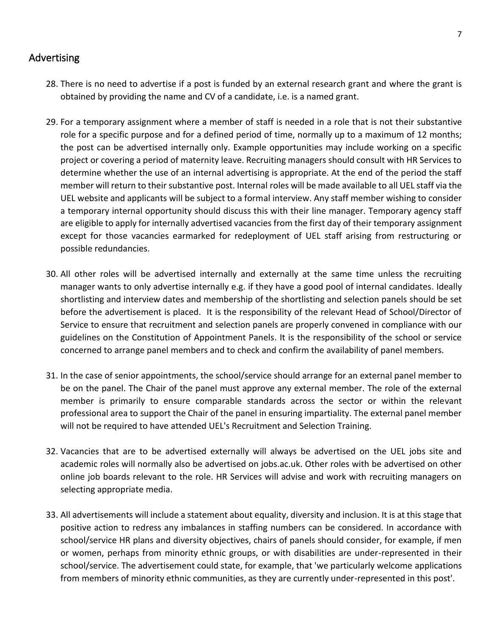## <span id="page-7-0"></span>Advertising

- 28. There is no need to advertise if a post is funded by an external research grant and where the grant is obtained by providing the name and CV of a candidate, i.e. is a named grant.
- 29. For a temporary assignment where a member of staff is needed in a role that is not their substantive role for a specific purpose and for a defined period of time, normally up to a maximum of 12 months; the post can be advertised internally only. Example opportunities may include working on a specific project or covering a period of maternity leave. Recruiting managers should consult with HR Services to determine whether the use of an internal advertising is appropriate. At the end of the period the staff member will return to their substantive post. Internal roles will be made available to all UEL staff via the UEL website and applicants will be subject to a formal interview. Any staff member wishing to consider a temporary internal opportunity should discuss this with their line manager. Temporary agency staff are eligible to apply for internally advertised vacancies from the first day of their temporary assignment except for those vacancies earmarked for redeployment of UEL staff arising from restructuring or possible redundancies.
- 30. All other roles will be advertised internally and externally at the same time unless the recruiting manager wants to only advertise internally e.g. if they have a good pool of internal candidates. Ideally shortlisting and interview dates and membership of the shortlisting and selection panels should be set before the advertisement is placed. It is the responsibility of the relevant Head of School/Director of Service to ensure that recruitment and selection panels are properly convened in compliance with our guidelines on the Constitution of Appointment Panels. It is the responsibility of the school or service concerned to arrange panel members and to check and confirm the availability of panel members.
- 31. In the case of senior appointments, the school/service should arrange for an external panel member to be on the panel. The Chair of the panel must approve any external member. The role of the external member is primarily to ensure comparable standards across the sector or within the relevant professional area to support the Chair of the panel in ensuring impartiality. The external panel member will not be required to have attended UEL's Recruitment and Selection Training.
- 32. Vacancies that are to be advertised externally will always be advertised on the UEL jobs site and academic roles will normally also be advertised on jobs.ac.uk. Other roles with be advertised on other online job boards relevant to the role. HR Services will advise and work with recruiting managers on selecting appropriate media.
- 33. All advertisements will include a statement about equality, diversity and inclusion. It is at this stage that positive action to redress any imbalances in staffing numbers can be considered. In accordance with school/service HR plans and diversity objectives, chairs of panels should consider, for example, if men or women, perhaps from minority ethnic groups, or with disabilities are under-represented in their school/service. The advertisement could state, for example, that 'we particularly welcome applications from members of minority ethnic communities, as they are currently under-represented in this post'.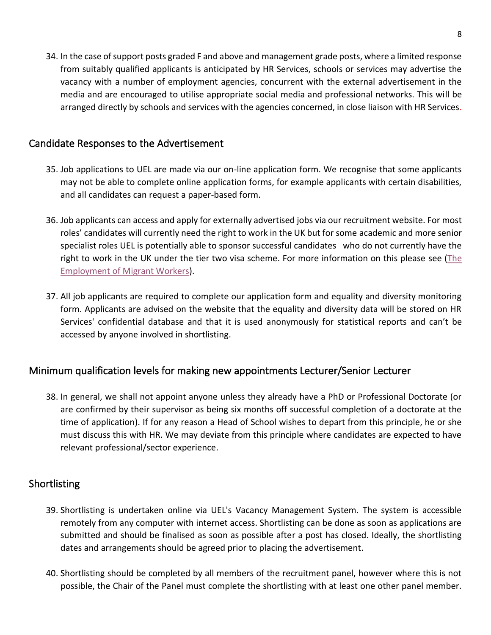34. In the case of support posts graded F and above and management grade posts, where a limited response from suitably qualified applicants is anticipated by HR Services, schools or services may advertise the vacancy with a number of employment agencies, concurrent with the external advertisement in the media and are encouraged to utilise appropriate social media and professional networks. This will be arranged directly by schools and services with the agencies concerned, in close liaison with HR Services.

## <span id="page-8-0"></span>Candidate Responses to the Advertisement

- 35. Job applications to UEL are made via our on-line application form. We recognise that some applicants may not be able to complete online application forms, for example applicants with certain disabilities, and all candidates can request a paper-based form.
- 36. Job applicants can access and apply for externally advertised jobs via our recruitment website. For most roles' candidates will currently need the right to work in the UK but for some academic and more senior specialist roles UEL is potentially able to sponsor successful candidates who do not currently have the right to work in the UK under the tier two visa scheme. For more information on this please see [\(The](https://uelac.sharepoint.com/:w:/r/sites/hr/Shared%20Documents/Recruitment/Procedure%20For%20The%20Employment%20of%20Migrant%20Workers%20-%20Update%20210815.doc?d=wcc26907af8c54c1a8350f0c1a4eb2b92&csf=1&web=1&e=u7Sod8)  [Employment of Migrant Workers\)](https://uelac.sharepoint.com/:w:/r/sites/hr/Shared%20Documents/Recruitment/Procedure%20For%20The%20Employment%20of%20Migrant%20Workers%20-%20Update%20210815.doc?d=wcc26907af8c54c1a8350f0c1a4eb2b92&csf=1&web=1&e=u7Sod8).
- 37. All job applicants are required to complete our application form and equality and diversity monitoring form. Applicants are advised on the website that the equality and diversity data will be stored on HR Services' confidential database and that it is used anonymously for statistical reports and can't be accessed by anyone involved in shortlisting.

## <span id="page-8-2"></span>Minimum qualification levels for making new appointments Lecturer/Senior Lecturer

38. In general, we shall not appoint anyone unless they already have a PhD or Professional Doctorate (or are confirmed by their supervisor as being six months off successful completion of a doctorate at the time of application). If for any reason a Head of School wishes to depart from this principle, he or she must discuss this with HR. We may deviate from this principle where candidates are expected to have relevant professional/sector experience.

## <span id="page-8-1"></span>Shortlisting

- 39. Shortlisting is undertaken online via UEL's Vacancy Management System. The system is accessible remotely from any computer with internet access. Shortlisting can be done as soon as applications are submitted and should be finalised as soon as possible after a post has closed. Ideally, the shortlisting dates and arrangements should be agreed prior to placing the advertisement.
- 40. Shortlisting should be completed by all members of the recruitment panel, however where this is not possible, the Chair of the Panel must complete the shortlisting with at least one other panel member.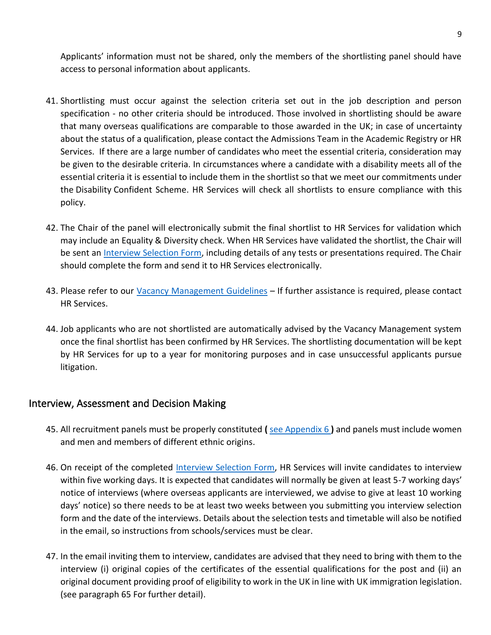Applicants' information must not be shared, only the members of the shortlisting panel should have access to personal information about applicants.

- 41. Shortlisting must occur against the selection criteria set out in the job description and person specification - no other criteria should be introduced. Those involved in shortlisting should be aware that many overseas qualifications are comparable to those awarded in the UK; in case of uncertainty about the status of a qualification, please contact the Admissions Team in the Academic Registry or HR Services. If there are a large number of candidates who meet the essential criteria, consideration may be given to the desirable criteria. In circumstances where a candidate with a disability meets all of the essential criteria it is essential to include them in the shortlist so that we meet our commitments under the Disability Confident Scheme. HR Services will check all shortlists to ensure compliance with this policy.
- 42. The Chair of the panel will electronically submit the final shortlist to HR Services for validation which may include an Equality & Diversity check. When HR Services have validated the shortlist, the Chair will be sent an [Interview Selection Form,](https://uelac.sharepoint.com/:w:/s/hr/EQ-6AgkTwplMpCQY0QPVeqQBEaCD9uejW-L_5p0BqPX7GA?e=loza2p) including details of any tests or presentations required. The Chair should complete the form and send it to HR Services electronically.
- 43. Please refer to our Vacancy [Management Guidelines](https://uelac.sharepoint.com/:b:/s/hr/Eak41luBPWZBnvqp6Pq_dakBudXr6255IW-AULicst-mxw?e=R8qvLu) If further assistance is required, please contact HR Services.
- 44. Job applicants who are not shortlisted are automatically advised by the Vacancy Management system once the final shortlist has been confirmed by HR Services. The shortlisting documentation will be kept by HR Services for up to a year for monitoring purposes and in case unsuccessful applicants pursue litigation.

#### <span id="page-9-0"></span>Interview, Assessment and Decision Making

- 45. All recruitment panels must be properly constituted **(** [see Appendix 6](https://uelac.sharepoint.com/:w:/s/hr/EYuU5d3oYPNKlsh6BFIfi80BBzFkjy1Wqk3dFEYNKfQXog?e=xxQFwU) **)** and panels must include women and men and members of different ethnic origins.
- 46. On receipt of the completed [Interview Selection Form,](https://uelac.sharepoint.com/:w:/s/hr/EQ-6AgkTwplMpCQY0QPVeqQBEaCD9uejW-L_5p0BqPX7GA?e=76rvWv) HR Services will invite candidates to interview within five working days. It is expected that candidates will normally be given at least 5-7 working days' notice of interviews (where overseas applicants are interviewed, we advise to give at least 10 working days' notice) so there needs to be at least two weeks between you submitting you interview selection form and the date of the interviews. Details about the selection tests and timetable will also be notified in the email, so instructions from schools/services must be clear.
- 47. In the email inviting them to interview, candidates are advised that they need to bring with them to the interview (i) original copies of the certificates of the essential qualifications for the post and (ii) an original document providing proof of eligibility to work in the UK in line with UK immigration legislation. (see paragraph 65 For further detail).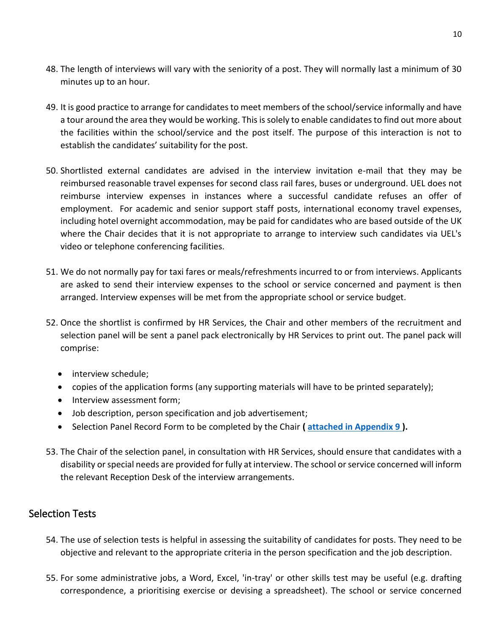- 48. The length of interviews will vary with the seniority of a post. They will normally last a minimum of 30 minutes up to an hour.
- 49. It is good practice to arrange for candidates to meet members of the school/service informally and have a tour around the area they would be working. This is solely to enable candidates to find out more about the facilities within the school/service and the post itself. The purpose of this interaction is not to establish the candidates' suitability for the post.
- 50. Shortlisted external candidates are advised in the interview invitation e-mail that they may be reimbursed reasonable travel expenses for second class rail fares, buses or underground. UEL does not reimburse interview expenses in instances where a successful candidate refuses an offer of employment. For academic and senior support staff posts, international economy travel expenses, including hotel overnight accommodation, may be paid for candidates who are based outside of the UK where the Chair decides that it is not appropriate to arrange to interview such candidates via UEL's video or telephone conferencing facilities.
- 51. We do not normally pay for taxi fares or meals/refreshments incurred to or from interviews. Applicants are asked to send their interview expenses to the school or service concerned and payment is then arranged. Interview expenses will be met from the appropriate school or service budget.
- 52. Once the shortlist is confirmed by HR Services, the Chair and other members of the recruitment and selection panel will be sent a panel pack electronically by HR Services to print out. The panel pack will comprise:
	- interview schedule;
	- copies of the application forms (any supporting materials will have to be printed separately);
	- Interview assessment form;
	- Job description, person specification and job advertisement;
	- Selection Panel Record Form to be completed by the Chair **( [attached in Appendix 9](https://uelac.sharepoint.com/:w:/s/hr/EX1eUS-mnwhHtdD63mp_5C0BiLezX8QTOCHGIavYyf4itQ?e=dLIzvc) ).**
- 53. The Chair of the selection panel, in consultation with HR Services, should ensure that candidates with a disability or special needs are provided for fully at interview. The school or service concerned will inform the relevant Reception Desk of the interview arrangements.

## <span id="page-10-0"></span>Selection Tests

- 54. The use of selection tests is helpful in assessing the suitability of candidates for posts. They need to be objective and relevant to the appropriate criteria in the person specification and the job description.
- 55. For some administrative jobs, a Word, Excel, 'in-tray' or other skills test may be useful (e.g. drafting correspondence, a prioritising exercise or devising a spreadsheet). The school or service concerned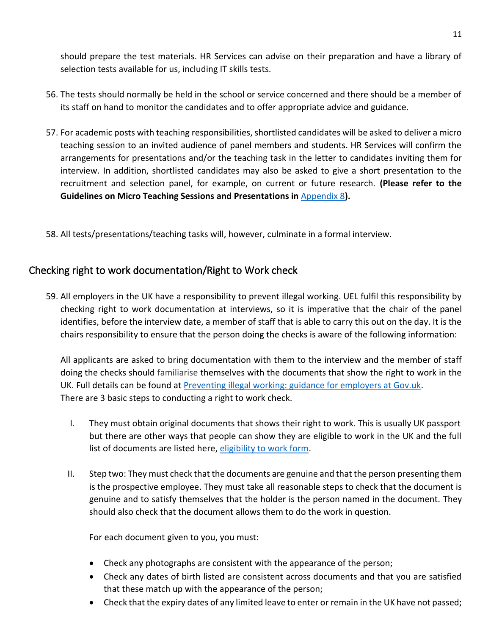should prepare the test materials. HR Services can advise on their preparation and have a library of selection tests available for us, including IT skills tests.

- 56. The tests should normally be held in the school or service concerned and there should be a member of its staff on hand to monitor the candidates and to offer appropriate advice and guidance.
- 57. For academic posts with teaching responsibilities, shortlisted candidates will be asked to deliver a micro teaching session to an invited audience of panel members and students. HR Services will confirm the arrangements for presentations and/or the teaching task in the letter to candidates inviting them for interview. In addition, shortlisted candidates may also be asked to give a short presentation to the recruitment and selection panel, for example, on current or future research. **(Please refer to the Guidelines on Micro Teaching Sessions and Presentations in** [Appendix 8](https://uelac.sharepoint.com/:w:/s/hr/EXCgBcWSrD5BlRhyzfbPk7UBWDFwxHhQiuXOkTczKfSDmw?e=dgsFNa)**).**
- 58. All tests/presentations/teaching tasks will, however, culminate in a formal interview.

## <span id="page-11-0"></span>Checking right to work documentation/Right to Work check

59. All employers in the UK have a responsibility to prevent illegal working. UEL fulfil this responsibility by checking right to work documentation at interviews, so it is imperative that the chair of the panel identifies, before the interview date, a member of staff that is able to carry this out on the day. It is the chairs responsibility to ensure that the person doing the checks is aware of the following information:

All applicants are asked to bring documentation with them to the interview and the member of staff doing the checks should familiarise themselves with the documents that show the right to work in the UK. Full details can be found at [Preventing illegal working: guidance for employers at Gov.uk.](https://www.gov.uk/government/uploads/system/uploads/attachment_data/file/304793/full-guide-illegal-working.pdf) There are 3 basic steps to conducting a right to work check.

- I. They must obtain original documents that shows their right to work. This is usually UK passport but there are other ways that people can show they are eligible to work in the UK and the full list of documents are listed here, [eligibility to work form.](https://uelac.sharepoint.com/:w:/s/hr/ESCRfytqTzJKrSHglD4YHGgBwekxQcgdvQiG2BQ8Un3ZTw?e=rhEhr6)
- II. Step two: They must check that the documents are genuine and that the person presenting them is the prospective employee. They must take all reasonable steps to check that the document is genuine and to satisfy themselves that the holder is the person named in the document. They should also check that the document allows them to do the work in question.

For each document given to you, you must:

- Check any photographs are consistent with the appearance of the person;
- Check any dates of birth listed are consistent across documents and that you are satisfied that these match up with the appearance of the person;
- Check that the expiry dates of any limited leave to enter or remain in the UK have not passed;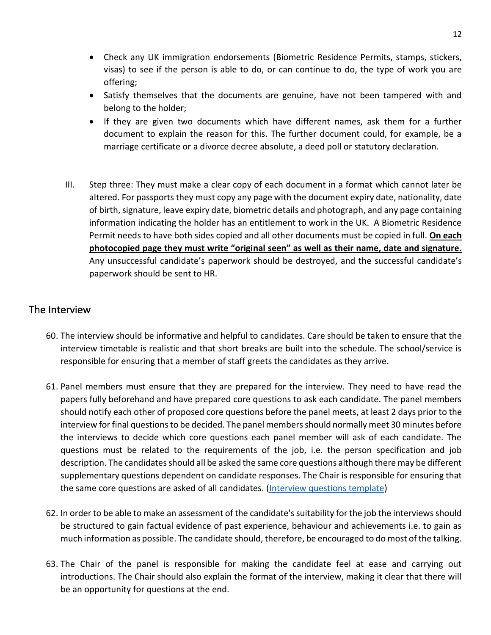- Check any UK immigration endorsements (Biometric Residence Permits, stamps, stickers, visas) to see if the person is able to do, or can continue to do, the type of work you are offering;
- Satisfy themselves that the documents are genuine, have not been tampered with and belong to the holder;
- If they are given two documents which have different names, ask them for a further document to explain the reason for this. The further document could, for example, be a marriage certificate or a divorce decree absolute, a deed poll or statutory declaration.
- III. Step three: They must make a clear copy of each document in a format which cannot later be altered. For passports they must copy any page with the document expiry date, nationality, date of birth, signature, leave expiry date, biometric details and photograph, and any page containing information indicating the holder has an entitlement to work in the UK. A Biometric Residence Permit needs to have both sides copied and all other documents must be copied in full. **On each photocopied page they must write "original seen" as well as their name, date and signature.** Any unsuccessful candidate's paperwork should be destroyed, and the successful candidate's paperwork should be sent to HR.

## <span id="page-12-0"></span>The Interview

- 60. The interview should be informative and helpful to candidates. Care should be taken to ensure that the interview timetable is realistic and that short breaks are built into the schedule. The school/service is responsible for ensuring that a member of staff greets the candidates as they arrive.
- 61. Panel members must ensure that they are prepared for the interview. They need to have read the papers fully beforehand and have prepared core questions to ask each candidate. The panel members should notify each other of proposed core questions before the panel meets, at least 2 days prior to the interview for final questions to be decided. The panel members should normally meet 30 minutes before the interviews to decide which core questions each panel member will ask of each candidate. The questions must be related to the requirements of the job, i.e. the person specification and job description. The candidates should all be asked the same core questions although there may be different supplementary questions dependent on candidate responses. The Chair is responsible for ensuring that the same core questions are asked of all candidates. [\(Interview questions template\)](https://uelac.sharepoint.com/:w:/s/hr/EQyi_G3BpdpGsgdKmWI5ieYBaXWINNRyrcLbsSi1xxHTfQ?e=Iu4rgd)
- 62. In order to be able to make an assessment of the candidate's suitability for the job the interviews should be structured to gain factual evidence of past experience, behaviour and achievements i.e. to gain as much information as possible. The candidate should, therefore, be encouraged to do most of the talking.
- 63. The Chair of the panel is responsible for making the candidate feel at ease and carrying out introductions. The Chair should also explain the format of the interview, making it clear that there will be an opportunity for questions at the end.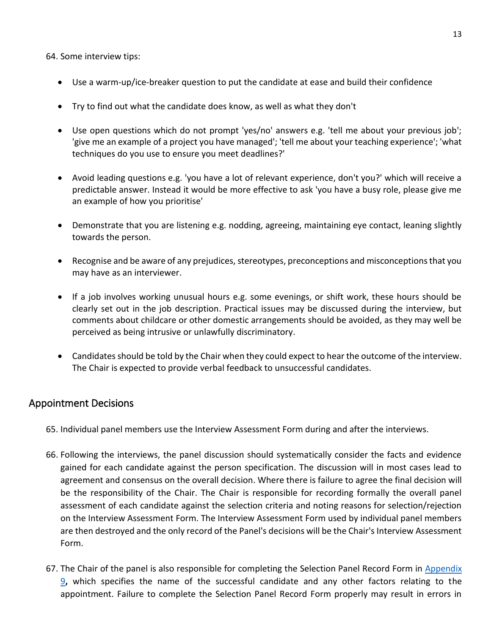64. Some interview tips:

- Use a warm-up/ice-breaker question to put the candidate at ease and build their confidence
- Try to find out what the candidate does know, as well as what they don't
- Use open questions which do not prompt 'yes/no' answers e.g. 'tell me about your previous job'; 'give me an example of a project you have managed'; 'tell me about your teaching experience'; 'what techniques do you use to ensure you meet deadlines?'
- Avoid leading questions e.g. 'you have a lot of relevant experience, don't you?' which will receive a predictable answer. Instead it would be more effective to ask 'you have a busy role, please give me an example of how you prioritise'
- Demonstrate that you are listening e.g. nodding, agreeing, maintaining eye contact, leaning slightly towards the person.
- Recognise and be aware of any prejudices, stereotypes, preconceptions and misconceptions that you may have as an interviewer.
- If a job involves working unusual hours e.g. some evenings, or shift work, these hours should be clearly set out in the job description. Practical issues may be discussed during the interview, but comments about childcare or other domestic arrangements should be avoided, as they may well be perceived as being intrusive or unlawfully discriminatory.
- Candidates should be told by the Chair when they could expect to hear the outcome of the interview. The Chair is expected to provide verbal feedback to unsuccessful candidates.

#### <span id="page-13-0"></span>Appointment Decisions

- 65. Individual panel members use the Interview Assessment Form during and after the interviews.
- 66. Following the interviews, the panel discussion should systematically consider the facts and evidence gained for each candidate against the person specification. The discussion will in most cases lead to agreement and consensus on the overall decision. Where there is failure to agree the final decision will be the responsibility of the Chair. The Chair is responsible for recording formally the overall panel assessment of each candidate against the selection criteria and noting reasons for selection/rejection on the Interview Assessment Form. The Interview Assessment Form used by individual panel members are then destroyed and the only record of the Panel's decisions will be the Chair's Interview Assessment Form.
- 67. The Chair of the panel is also responsible for completing the Selection Panel Record Form in Appendix [9](https://uelac.sharepoint.com/:w:/s/hr/EX1eUS-mnwhHtdD63mp_5C0BiLezX8QTOCHGIavYyf4itQ?e=THSoNp)**,** which specifies the name of the successful candidate and any other factors relating to the appointment. Failure to complete the Selection Panel Record Form properly may result in errors in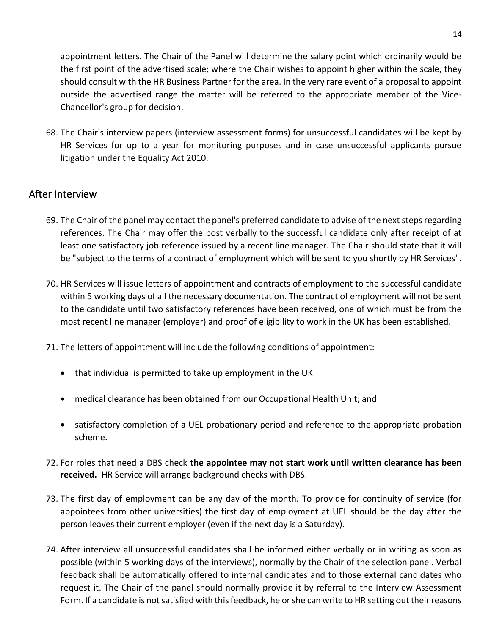appointment letters. The Chair of the Panel will determine the salary point which ordinarily would be the first point of the advertised scale; where the Chair wishes to appoint higher within the scale, they should consult with the HR Business Partner for the area. In the very rare event of a proposal to appoint outside the advertised range the matter will be referred to the appropriate member of the Vice-Chancellor's group for decision.

68. The Chair's interview papers (interview assessment forms) for unsuccessful candidates will be kept by HR Services for up to a year for monitoring purposes and in case unsuccessful applicants pursue litigation under the Equality Act 2010.

## <span id="page-14-0"></span>After Interview

- 69. The Chair of the panel may contact the panel's preferred candidate to advise of the next steps regarding references. The Chair may offer the post verbally to the successful candidate only after receipt of at least one satisfactory job reference issued by a recent line manager. The Chair should state that it will be "subject to the terms of a contract of employment which will be sent to you shortly by HR Services".
- 70. HR Services will issue letters of appointment and contracts of employment to the successful candidate within 5 working days of all the necessary documentation. The contract of employment will not be sent to the candidate until two satisfactory references have been received, one of which must be from the most recent line manager (employer) and proof of eligibility to work in the UK has been established.
- 71. The letters of appointment will include the following conditions of appointment:
	- that individual is permitted to take up employment in the UK
	- medical clearance has been obtained from our Occupational Health Unit; and
	- satisfactory completion of a UEL probationary period and reference to the appropriate probation scheme.
- 72. For roles that need a DBS check **the appointee may not start work until written clearance has been received.** HR Service will arrange background checks with DBS.
- 73. The first day of employment can be any day of the month. To provide for continuity of service (for appointees from other universities) the first day of employment at UEL should be the day after the person leaves their current employer (even if the next day is a Saturday).
- 74. After interview all unsuccessful candidates shall be informed either verbally or in writing as soon as possible (within 5 working days of the interviews), normally by the Chair of the selection panel. Verbal feedback shall be automatically offered to internal candidates and to those external candidates who request it. The Chair of the panel should normally provide it by referral to the Interview Assessment Form. If a candidate is not satisfied with this feedback, he or she can write to HR setting out their reasons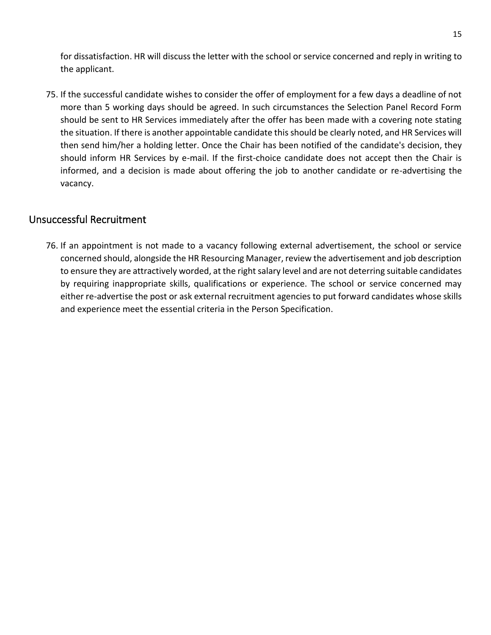for dissatisfaction. HR will discuss the letter with the school or service concerned and reply in writing to the applicant.

75. If the successful candidate wishes to consider the offer of employment for a few days a deadline of not more than 5 working days should be agreed. In such circumstances the Selection Panel Record Form should be sent to HR Services immediately after the offer has been made with a covering note stating the situation. If there is another appointable candidate this should be clearly noted, and HR Services will then send him/her a holding letter. Once the Chair has been notified of the candidate's decision, they should inform HR Services by e-mail. If the first-choice candidate does not accept then the Chair is informed, and a decision is made about offering the job to another candidate or re-advertising the vacancy.

#### <span id="page-15-0"></span>Unsuccessful Recruitment

76. If an appointment is not made to a vacancy following external advertisement, the school or service concerned should, alongside the HR Resourcing Manager, review the advertisement and job description to ensure they are attractively worded, at the right salary level and are not deterring suitable candidates by requiring inappropriate skills, qualifications or experience. The school or service concerned may either re-advertise the post or ask external recruitment agencies to put forward candidates whose skills and experience meet the essential criteria in the Person Specification.